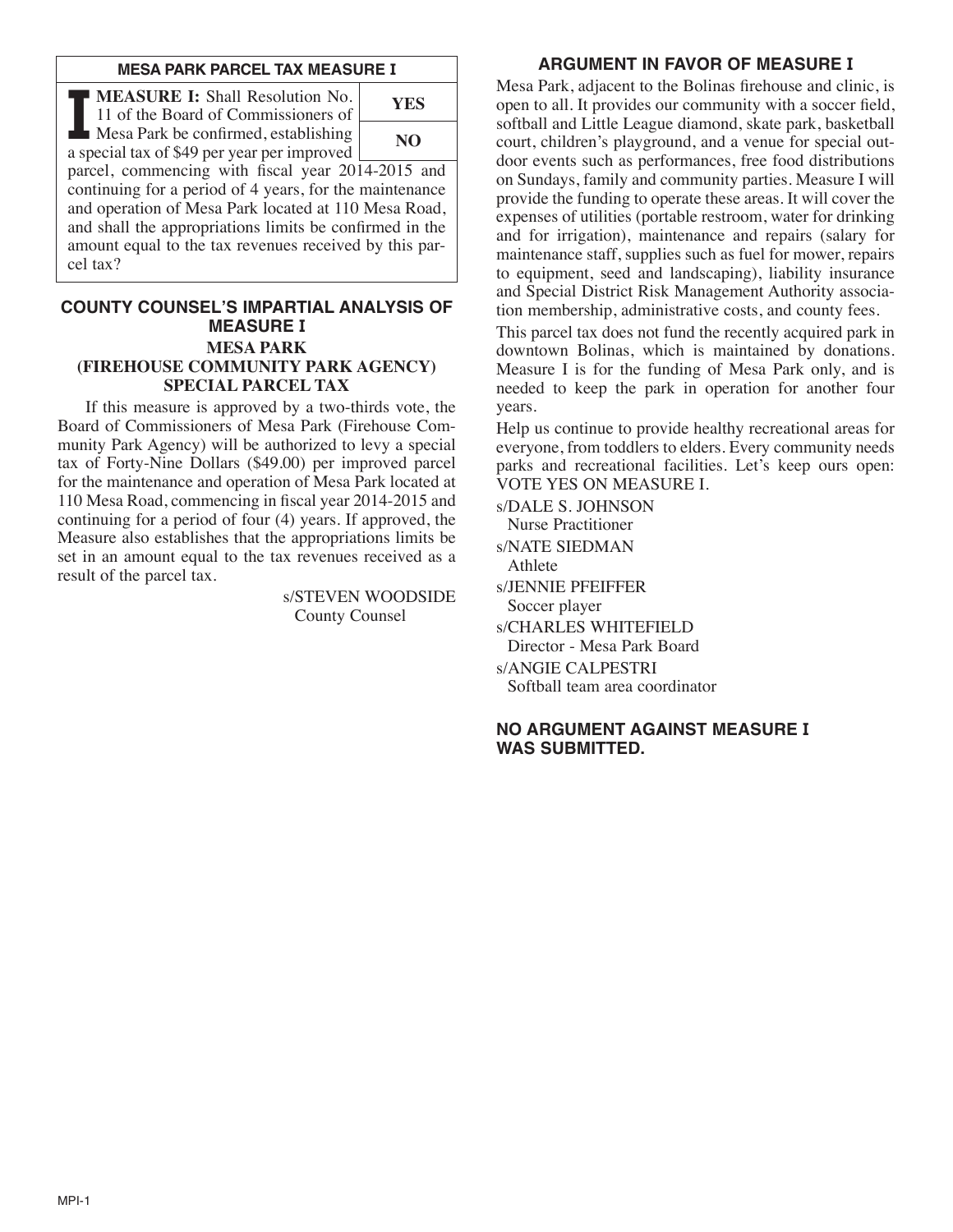#### **MESA PARK PARCEL TAX MEASURE I**

**II MEASURE I:** Shall Resolution No.<br>
11 of the Board of Commissioners of<br>
Mesa Park be confirmed, establishing 11 of the Board of Commissioners of a special tax of \$49 per year per improved parcel, commencing with fiscal year 2014-2015 and continuing for a period of 4 years, for the maintenance and operation of Mesa Park located at 110 Mesa Road, and shall the appropriations limits be confirmed in the amount equal to the tax revenues received by this parcel tax? **YES NO**

#### **COUNTY COUNSEL'S IMPARTIAL ANALYSIS OF MEASURE I MESA PARK (FIREHOUSE COMMUNITY PARK AGENCY) SPECIAL PARCEL TAX**

 If this measure is approved by a two-thirds vote, the Board of Commissioners of Mesa Park (Firehouse Community Park Agency) will be authorized to levy a special tax of Forty-Nine Dollars (\$49.00) per improved parcel for the maintenance and operation of Mesa Park located at 110 Mesa Road, commencing in fiscal year 2014-2015 and continuing for a period of four (4) years. If approved, the Measure also establishes that the appropriations limits be set in an amount equal to the tax revenues received as a result of the parcel tax.

> s/STEVEN WOODSIDE County Counsel

# **ARGUMENT IN FAVOR OF MEASURE I**

Mesa Park, adjacent to the Bolinas firehouse and clinic, is open to all. It provides our community with a soccer field, softball and Little League diamond, skate park, basketball court, children's playground, and a venue for special outdoor events such as performances, free food distributions on Sundays, family and community parties. Measure I will provide the funding to operate these areas. It will cover the expenses of utilities (portable restroom, water for drinking and for irrigation), maintenance and repairs (salary for maintenance staff, supplies such as fuel for mower, repairs to equipment, seed and landscaping), liability insurance and Special District Risk Management Authority association membership, administrative costs, and county fees.

This parcel tax does not fund the recently acquired park in downtown Bolinas, which is maintained by donations. Measure I is for the funding of Mesa Park only, and is needed to keep the park in operation for another four years.

Help us continue to provide healthy recreational areas for everyone, from toddlers to elders. Every community needs parks and recreational facilities. Let's keep ours open: VOTE YES ON MEASURE I.

s/DALE S. JOHNSON Nurse Practitioner s/NATE SIEDMAN Athlete s/JENNIE PFEIFFER Soccer player s/CHARLES WHITEFIELD Director - Mesa Park Board s/ANGIE CALPESTRI Softball team area coordinator

# **NO ARGUMENT AGAINST MEASURE I WAS SUBMITTED.**